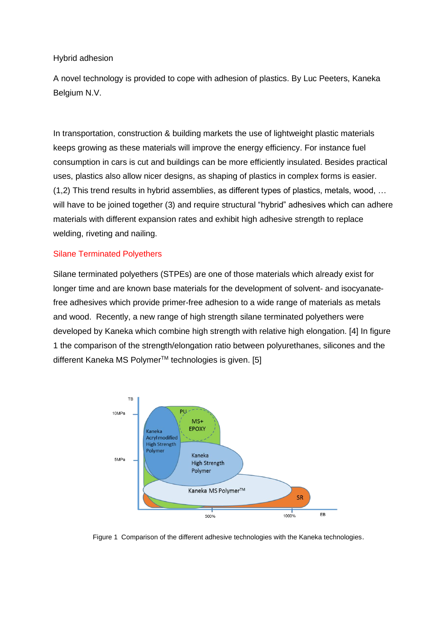#### Hybrid adhesion

A novel technology is provided to cope with adhesion of plastics. By Luc Peeters, Kaneka Belgium N.V.

In transportation, construction & building markets the use of lightweight plastic materials keeps growing as these materials will improve the energy efficiency. For instance fuel consumption in cars is cut and buildings can be more efficiently insulated. Besides practical uses, plastics also allow nicer designs, as shaping of plastics in complex forms is easier. (1,2) This trend results in hybrid assemblies, as different types of plastics, metals, wood, … will have to be joined together (3) and require structural "hybrid" adhesives which can adhere materials with different expansion rates and exhibit high adhesive strength to replace welding, riveting and nailing.

### Silane Terminated Polyethers

Silane terminated polyethers (STPEs) are one of those materials which already exist for longer time and are known base materials for the development of solvent- and isocyanatefree adhesives which provide primer-free adhesion to a wide range of materials as metals and wood. Recently, a new range of high strength silane terminated polyethers were developed by Kaneka which combine high strength with relative high elongation. [4] In figure 1 the comparison of the strength/elongation ratio between polyurethanes, silicones and the different Kaneka MS Polymer<sup>™</sup> technologies is given. [5]



Figure 1 Comparison of the different adhesive technologies with the Kaneka technologies.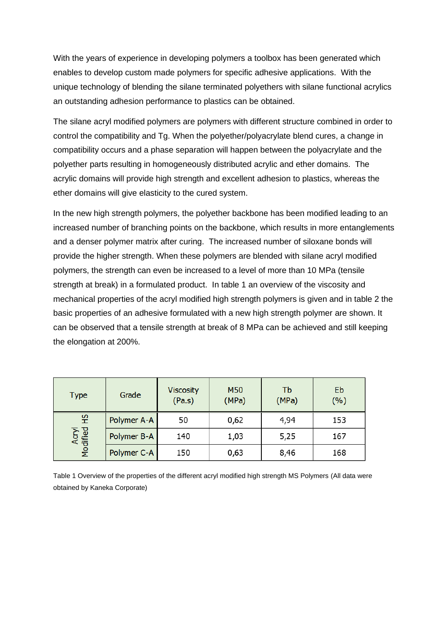With the years of experience in developing polymers a toolbox has been generated which enables to develop custom made polymers for specific adhesive applications. With the unique technology of blending the silane terminated polyethers with silane functional acrylics an outstanding adhesion performance to plastics can be obtained.

The silane acryl modified polymers are polymers with different structure combined in order to control the compatibility and Tg. When the polyether/polyacrylate blend cures, a change in compatibility occurs and a phase separation will happen between the polyacrylate and the polyether parts resulting in homogeneously distributed acrylic and ether domains. The acrylic domains will provide high strength and excellent adhesion to plastics, whereas the ether domains will give elasticity to the cured system.

In the new high strength polymers, the polyether backbone has been modified leading to an increased number of branching points on the backbone, which results in more entanglements and a denser polymer matrix after curing. The increased number of siloxane bonds will provide the higher strength. When these polymers are blended with silane acryl modified polymers, the strength can even be increased to a level of more than 10 MPa (tensile strength at break) in a formulated product. In table 1 an overview of the viscosity and mechanical properties of the acryl modified high strength polymers is given and in table 2 the basic properties of an adhesive formulated with a new high strength polymer are shown. It can be observed that a tensile strength at break of 8 MPa can be achieved and still keeping the elongation at 200%.

| <b>Type</b>            | Grade       | <b>Viscosity</b><br>(Pa.s) | M50<br>(MPa) | Tb<br>(MPa) | Eb<br>(%) |
|------------------------|-------------|----------------------------|--------------|-------------|-----------|
| 잎<br>Acryl<br>Modified | Polymer A-A | 50                         | 0,62         | 4,94        | 153       |
|                        | Polymer B-A | 140                        | 1,03         | 5,25        | 167       |
|                        | Polymer C-A | 150                        | 0,63         | 8,46        | 168       |

Table 1 Overview of the properties of the different acryl modified high strength MS Polymers (All data were obtained by Kaneka Corporate)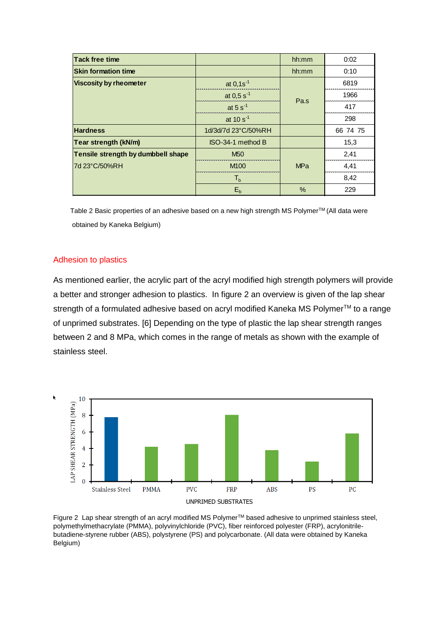| <b>Tack free time</b>              |                        | hh:mm      | 0:02     |
|------------------------------------|------------------------|------------|----------|
| <b>Skin formation time</b>         |                        | hh:mm      | 0:10     |
| <b>Viscosity by rheometer</b>      | at $0,1s^{-1}$         |            | 6819     |
|                                    | at 0,5 s <sup>-1</sup> | Pa.s       | 1966     |
|                                    | at 5 $s^{-1}$          |            | 417      |
|                                    | at 10 $s^{-1}$         |            | 298      |
| <b>Hardness</b>                    | 1d/3d/7d 23°C/50%RH    |            | 66 74 75 |
| <b>Tear strength (kN/m)</b>        | ISO-34-1 method B      |            | 15,3     |
| Tensile strength by dumbbell shape | <b>M<sub>50</sub></b>  |            | 2,41     |
| 7d 23°C/50%RH                      | M <sub>100</sub>       | <b>MPa</b> | 4,41     |
|                                    | $T_{h}$                |            | 8,42     |
|                                    | E <sub>b</sub>         | $\%$       | 229      |

Table 2 Basic properties of an adhesive based on a new high strength MS Polymer™ (All data were obtained by Kaneka Belgium)

## Adhesion to plastics

As mentioned earlier, the acrylic part of the acryl modified high strength polymers will provide a better and stronger adhesion to plastics. In figure 2 an overview is given of the lap shear strength of a formulated adhesive based on acryl modified Kaneka MS Polymer<sup>™</sup> to a range of unprimed substrates. [6] Depending on the type of plastic the lap shear strength ranges between 2 and 8 MPa, which comes in the range of metals as shown with the example of stainless steel.



Figure 2 Lap shear strength of an acryl modified MS Polymer™ based adhesive to unprimed stainless steel, polymethylmethacrylate (PMMA), polyvinylchloride (PVC), fiber reinforced polyester (FRP), acrylonitrilebutadiene-styrene rubber (ABS), polystyrene (PS) and polycarbonate. (All data were obtained by Kaneka Belgium)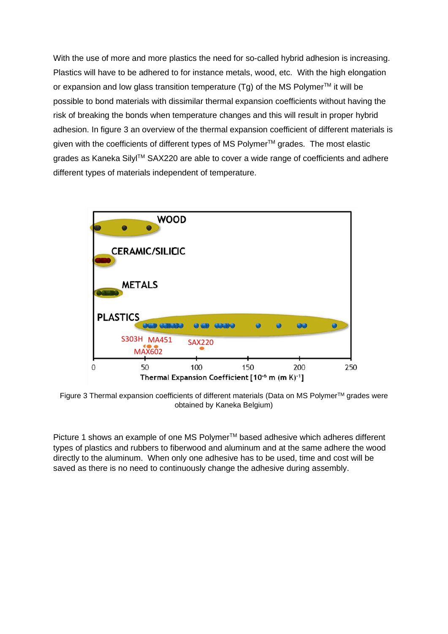With the use of more and more plastics the need for so-called hybrid adhesion is increasing. Plastics will have to be adhered to for instance metals, wood, etc. With the high elongation or expansion and low glass transition temperature (Tg) of the MS Polymer<sup>TM</sup> it will be possible to bond materials with dissimilar thermal expansion coefficients without having the risk of breaking the bonds when temperature changes and this will result in proper hybrid adhesion. In figure 3 an overview of the thermal expansion coefficient of different materials is given with the coefficients of different types of MS Polymer™ grades. The most elastic grades as Kaneka Silyl™ SAX220 are able to cover a wide range of coefficients and adhere different types of materials independent of temperature.



Figure 3 Thermal expansion coefficients of different materials (Data on MS Polymer™ grades were obtained by Kaneka Belgium)

Picture 1 shows an example of one MS Polymer<sup>™</sup> based adhesive which adheres different types of plastics and rubbers to fiberwood and aluminum and at the same adhere the wood directly to the aluminum. When only one adhesive has to be used, time and cost will be saved as there is no need to continuously change the adhesive during assembly.